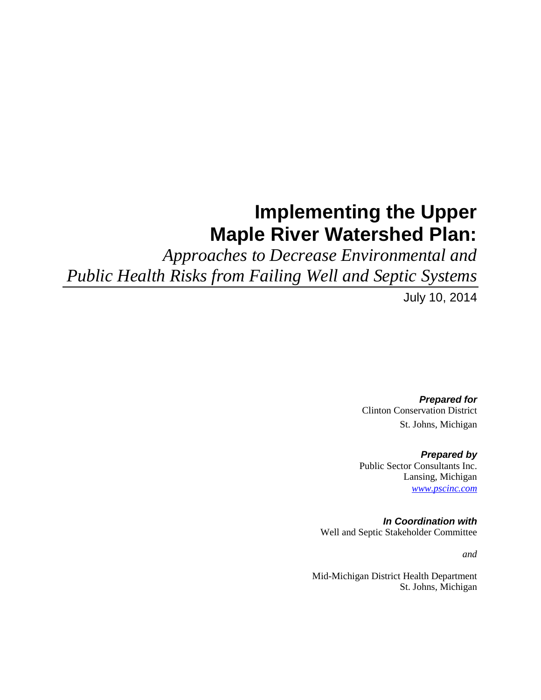## **Implementing the Upper Maple River Watershed Plan:**

*Approaches to Decrease Environmental and Public Health Risks from Failing Well and Septic Systems*

July 10, 2014

*Prepared for* Clinton Conservation District St. Johns, Michigan

*Prepared by* Public Sector Consultants Inc. Lansing, Michigan *[www.pscinc.com](http://www.pscinc.com/)*

*In Coordination with* Well and Septic Stakeholder Committee

*and*

Mid-Michigan District Health Department St. Johns, Michigan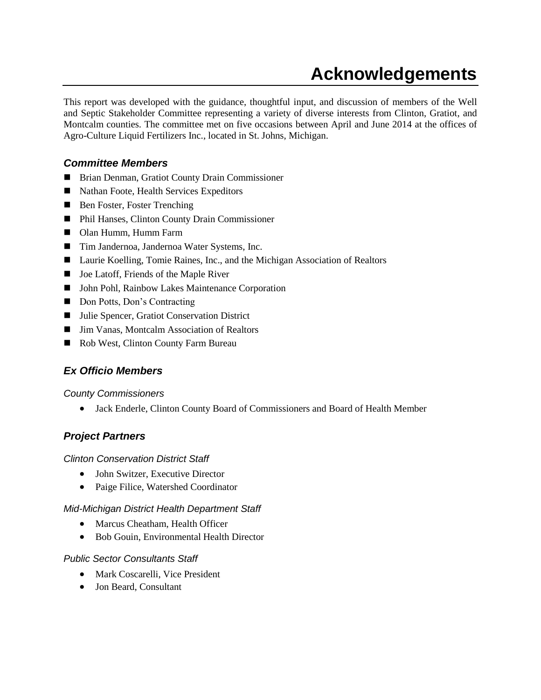## **Acknowledgements**

<span id="page-1-0"></span>This report was developed with the guidance, thoughtful input, and discussion of members of the Well and Septic Stakeholder Committee representing a variety of diverse interests from Clinton, Gratiot, and Montcalm counties. The committee met on five occasions between April and June 2014 at the offices of Agro-Culture Liquid Fertilizers Inc., located in St. Johns, Michigan.

### <span id="page-1-1"></span>*Committee Members*

- Brian Denman, Gratiot County Drain Commissioner
- Nathan Foote, Health Services Expeditors
- Ben Foster, Foster Trenching
- Phil Hanses, Clinton County Drain Commissioner
- Olan Humm, Humm Farm
- Tim Jandernoa, Jandernoa Water Systems, Inc.
- Laurie Koelling, Tomie Raines, Inc., and the Michigan Association of Realtors
- Joe Latoff, Friends of the Maple River
- John Pohl, Rainbow Lakes Maintenance Corporation
- Don Potts, Don's Contracting
- Julie Spencer, Gratiot Conservation District
- Jim Vanas, Montcalm Association of Realtors
- <span id="page-1-2"></span>Rob West, Clinton County Farm Bureau

## *Ex Officio Members*

*County Commissioners*

Jack Enderle, Clinton County Board of Commissioners and Board of Health Member

## <span id="page-1-3"></span>*Project Partners*

*Clinton Conservation District Staff*

- John Switzer, Executive Director
- Paige Filice, Watershed Coordinator

### *Mid-Michigan District Health Department Staff*

- Marcus Cheatham, Health Officer
- Bob Gouin, Environmental Health Director

### *Public Sector Consultants Staff*

- Mark Coscarelli, Vice President
- Jon Beard, Consultant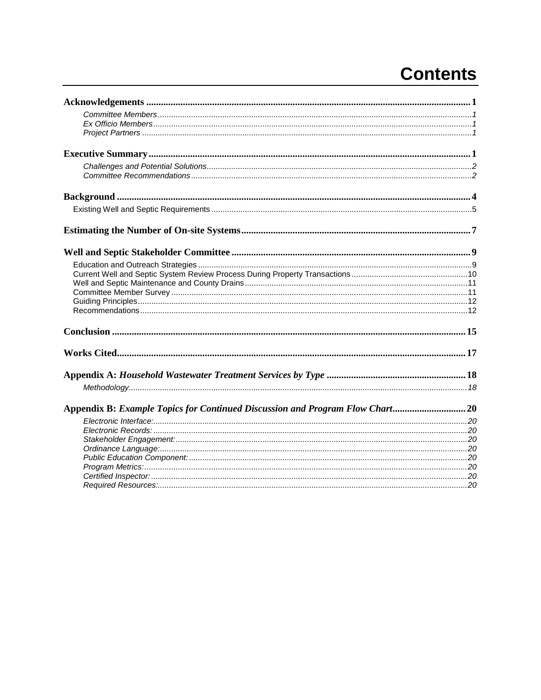# **Contents**

| Appendix B: Example Topics for Continued Discussion and Program Flow Chart20 |  |
|------------------------------------------------------------------------------|--|
|                                                                              |  |
|                                                                              |  |
|                                                                              |  |
|                                                                              |  |
|                                                                              |  |
|                                                                              |  |
|                                                                              |  |
|                                                                              |  |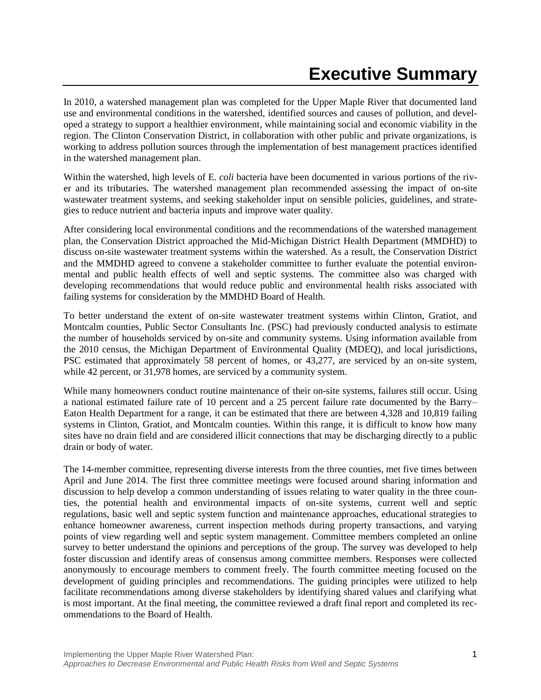<span id="page-3-0"></span>In 2010, a watershed management plan was completed for the Upper Maple River that documented land use and environmental conditions in the watershed, identified sources and causes of pollution, and developed a strategy to support a healthier environment, while maintaining social and economic viability in the region. The Clinton Conservation District, in collaboration with other public and private organizations, is working to address pollution sources through the implementation of best management practices identified in the watershed management plan.

Within the watershed, high levels of E. *coli* bacteria have been documented in various portions of the river and its tributaries. The watershed management plan recommended assessing the impact of on-site wastewater treatment systems, and seeking stakeholder input on sensible policies, guidelines, and strategies to reduce nutrient and bacteria inputs and improve water quality.

After considering local environmental conditions and the recommendations of the watershed management plan, the Conservation District approached the Mid-Michigan District Health Department (MMDHD) to discuss on-site wastewater treatment systems within the watershed. As a result, the Conservation District and the MMDHD agreed to convene a stakeholder committee to further evaluate the potential environmental and public health effects of well and septic systems. The committee also was charged with developing recommendations that would reduce public and environmental health risks associated with failing systems for consideration by the MMDHD Board of Health.

To better understand the extent of on-site wastewater treatment systems within Clinton, Gratiot, and Montcalm counties, Public Sector Consultants Inc. (PSC) had previously conducted analysis to estimate the number of households serviced by on-site and community systems. Using information available from the 2010 census, the Michigan Department of Environmental Quality (MDEQ), and local jurisdictions, PSC estimated that approximately 58 percent of homes, or 43,277, are serviced by an on-site system, while 42 percent, or 31,978 homes, are serviced by a community system.

While many homeowners conduct routine maintenance of their on-site systems, failures still occur. Using a national estimated failure rate of 10 percent and a 25 percent failure rate documented by the Barry– Eaton Health Department for a range, it can be estimated that there are between 4,328 and 10,819 failing systems in Clinton, Gratiot, and Montcalm counties. Within this range, it is difficult to know how many sites have no drain field and are considered illicit connections that may be discharging directly to a public drain or body of water.

The 14-member committee, representing diverse interests from the three counties, met five times between April and June 2014. The first three committee meetings were focused around sharing information and discussion to help develop a common understanding of issues relating to water quality in the three counties, the potential health and environmental impacts of on-site systems, current well and septic regulations, basic well and septic system function and maintenance approaches, educational strategies to enhance homeowner awareness, current inspection methods during property transactions, and varying points of view regarding well and septic system management. Committee members completed an online survey to better understand the opinions and perceptions of the group. The survey was developed to help foster discussion and identify areas of consensus among committee members. Responses were collected anonymously to encourage members to comment freely. The fourth committee meeting focused on the development of guiding principles and recommendations. The guiding principles were utilized to help facilitate recommendations among diverse stakeholders by identifying shared values and clarifying what is most important. At the final meeting, the committee reviewed a draft final report and completed its recommendations to the Board of Health.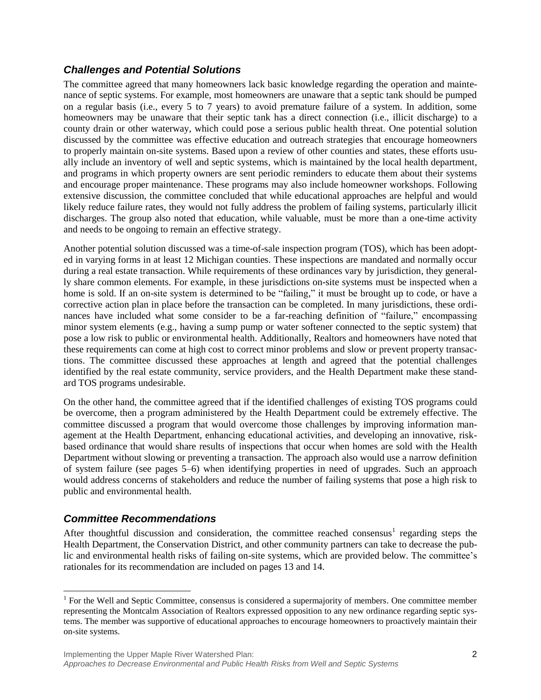### <span id="page-4-0"></span>*Challenges and Potential Solutions*

The committee agreed that many homeowners lack basic knowledge regarding the operation and maintenance of septic systems. For example, most homeowners are unaware that a septic tank should be pumped on a regular basis (i.e., every 5 to 7 years) to avoid premature failure of a system. In addition, some homeowners may be unaware that their septic tank has a direct connection (i.e., illicit discharge) to a county drain or other waterway, which could pose a serious public health threat. One potential solution discussed by the committee was effective education and outreach strategies that encourage homeowners to properly maintain on-site systems. Based upon a review of other counties and states, these efforts usually include an inventory of well and septic systems, which is maintained by the local health department, and programs in which property owners are sent periodic reminders to educate them about their systems and encourage proper maintenance. These programs may also include homeowner workshops. Following extensive discussion, the committee concluded that while educational approaches are helpful and would likely reduce failure rates, they would not fully address the problem of failing systems, particularly illicit discharges. The group also noted that education, while valuable, must be more than a one-time activity and needs to be ongoing to remain an effective strategy.

Another potential solution discussed was a time-of-sale inspection program (TOS), which has been adopted in varying forms in at least 12 Michigan counties. These inspections are mandated and normally occur during a real estate transaction. While requirements of these ordinances vary by jurisdiction, they generally share common elements. For example, in these jurisdictions on-site systems must be inspected when a home is sold. If an on-site system is determined to be "failing," it must be brought up to code, or have a corrective action plan in place before the transaction can be completed. In many jurisdictions, these ordinances have included what some consider to be a far-reaching definition of "failure," encompassing minor system elements (e.g., having a sump pump or water softener connected to the septic system) that pose a low risk to public or environmental health. Additionally, Realtors and homeowners have noted that these requirements can come at high cost to correct minor problems and slow or prevent property transactions. The committee discussed these approaches at length and agreed that the potential challenges identified by the real estate community, service providers, and the Health Department make these standard TOS programs undesirable.

On the other hand, the committee agreed that if the identified challenges of existing TOS programs could be overcome, then a program administered by the Health Department could be extremely effective. The committee discussed a program that would overcome those challenges by improving information management at the Health Department, enhancing educational activities, and developing an innovative, riskbased ordinance that would share results of inspections that occur when homes are sold with the Health Department without slowing or preventing a transaction. The approach also would use a narrow definition of system failure (see pages 5–6) when identifying properties in need of upgrades. Such an approach would address concerns of stakeholders and reduce the number of failing systems that pose a high risk to public and environmental health.

### <span id="page-4-1"></span>*Committee Recommendations*

 $\overline{a}$ 

After thoughtful discussion and consideration, the committee reached consensus<sup>1</sup> regarding steps the Health Department, the Conservation District, and other community partners can take to decrease the public and environmental health risks of failing on-site systems, which are provided below. The committee's rationales for its recommendation are included on pages 13 and 14.

<sup>&</sup>lt;sup>1</sup> For the Well and Septic Committee, consensus is considered a supermajority of members. One committee member representing the Montcalm Association of Realtors expressed opposition to any new ordinance regarding septic systems. The member was supportive of educational approaches to encourage homeowners to proactively maintain their on-site systems.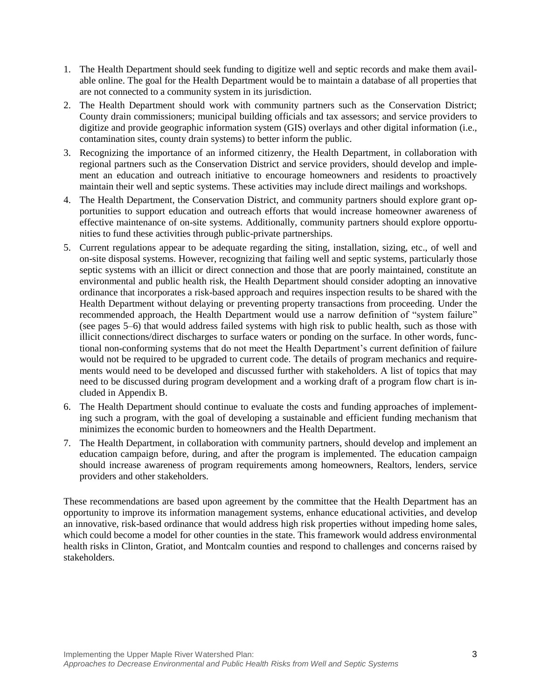- 1. The Health Department should seek funding to digitize well and septic records and make them available online. The goal for the Health Department would be to maintain a database of all properties that are not connected to a community system in its jurisdiction.
- 2. The Health Department should work with community partners such as the Conservation District; County drain commissioners; municipal building officials and tax assessors; and service providers to digitize and provide geographic information system (GIS) overlays and other digital information (i.e., contamination sites, county drain systems) to better inform the public.
- 3. Recognizing the importance of an informed citizenry, the Health Department, in collaboration with regional partners such as the Conservation District and service providers, should develop and implement an education and outreach initiative to encourage homeowners and residents to proactively maintain their well and septic systems. These activities may include direct mailings and workshops.
- 4. The Health Department, the Conservation District, and community partners should explore grant opportunities to support education and outreach efforts that would increase homeowner awareness of effective maintenance of on-site systems. Additionally, community partners should explore opportunities to fund these activities through public-private partnerships.
- 5. Current regulations appear to be adequate regarding the siting, installation, sizing, etc., of well and on-site disposal systems. However, recognizing that failing well and septic systems, particularly those septic systems with an illicit or direct connection and those that are poorly maintained, constitute an environmental and public health risk, the Health Department should consider adopting an innovative ordinance that incorporates a risk-based approach and requires inspection results to be shared with the Health Department without delaying or preventing property transactions from proceeding. Under the recommended approach, the Health Department would use a narrow definition of "system failure" (see pages 5–6) that would address failed systems with high risk to public health, such as those with illicit connections/direct discharges to surface waters or ponding on the surface. In other words, functional non-conforming systems that do not meet the Health Department's current definition of failure would not be required to be upgraded to current code. The details of program mechanics and requirements would need to be developed and discussed further with stakeholders. A list of topics that may need to be discussed during program development and a working draft of a program flow chart is included in Appendix B.
- 6. The Health Department should continue to evaluate the costs and funding approaches of implementing such a program, with the goal of developing a sustainable and efficient funding mechanism that minimizes the economic burden to homeowners and the Health Department.
- 7. The Health Department, in collaboration with community partners, should develop and implement an education campaign before, during, and after the program is implemented. The education campaign should increase awareness of program requirements among homeowners, Realtors, lenders, service providers and other stakeholders.

These recommendations are based upon agreement by the committee that the Health Department has an opportunity to improve its information management systems, enhance educational activities, and develop an innovative, risk-based ordinance that would address high risk properties without impeding home sales, which could become a model for other counties in the state. This framework would address environmental health risks in Clinton, Gratiot, and Montcalm counties and respond to challenges and concerns raised by stakeholders.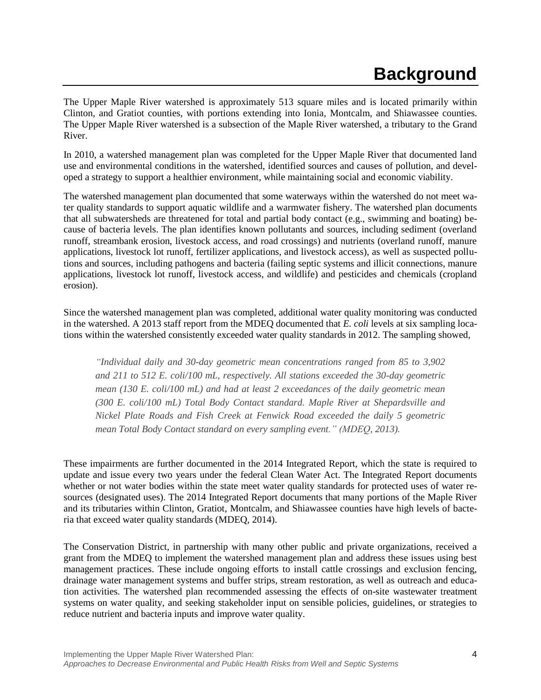## **Background**

<span id="page-6-0"></span>The Upper Maple River watershed is approximately 513 square miles and is located primarily within Clinton, and Gratiot counties, with portions extending into Ionia, Montcalm, and Shiawassee counties. The Upper Maple River watershed is a subsection of the Maple River watershed, a tributary to the Grand River.

In 2010, a watershed management plan was completed for the Upper Maple River that documented land use and environmental conditions in the watershed, identified sources and causes of pollution, and developed a strategy to support a healthier environment, while maintaining social and economic viability.

The watershed management plan documented that some waterways within the watershed do not meet water quality standards to support aquatic wildlife and a warmwater fishery. The watershed plan documents that all subwatersheds are threatened for total and partial body contact (e.g., swimming and boating) because of bacteria levels. The plan identifies known pollutants and sources, including sediment (overland runoff, streambank erosion, livestock access, and road crossings) and nutrients (overland runoff, manure applications, livestock lot runoff, fertilizer applications, and livestock access), as well as suspected pollutions and sources, including pathogens and bacteria (failing septic systems and illicit connections, manure applications, livestock lot runoff, livestock access, and wildlife) and pesticides and chemicals (cropland erosion).

Since the watershed management plan was completed, additional water quality monitoring was conducted in the watershed. A 2013 staff report from the MDEQ documented that *E. coli* levels at six sampling locations within the watershed consistently exceeded water quality standards in 2012. The sampling showed,

*"Individual daily and 30-day geometric mean concentrations ranged from 85 to 3,902 and 211 to 512 E. coli/100 mL, respectively. All stations exceeded the 30-day geometric mean (130 E. coli/100 mL) and had at least 2 exceedances of the daily geometric mean (300 E. coli/100 mL) Total Body Contact standard. Maple River at Shepardsville and Nickel Plate Roads and Fish Creek at Fenwick Road exceeded the daily 5 geometric mean Total Body Contact standard on every sampling event." (MDEQ, 2013).*

These impairments are further documented in the 2014 Integrated Report, which the state is required to update and issue every two years under the federal Clean Water Act. The Integrated Report documents whether or not water bodies within the state meet water quality standards for protected uses of water resources (designated uses). The 2014 Integrated Report documents that many portions of the Maple River and its tributaries within Clinton, Gratiot, Montcalm, and Shiawassee counties have high levels of bacteria that exceed water quality standards (MDEQ, 2014).

The Conservation District, in partnership with many other public and private organizations, received a grant from the MDEQ to implement the watershed management plan and address these issues using best management practices. These include ongoing efforts to install cattle crossings and exclusion fencing, drainage water management systems and buffer strips, stream restoration, as well as outreach and education activities. The watershed plan recommended assessing the effects of on-site wastewater treatment systems on water quality, and seeking stakeholder input on sensible policies, guidelines, or strategies to reduce nutrient and bacteria inputs and improve water quality.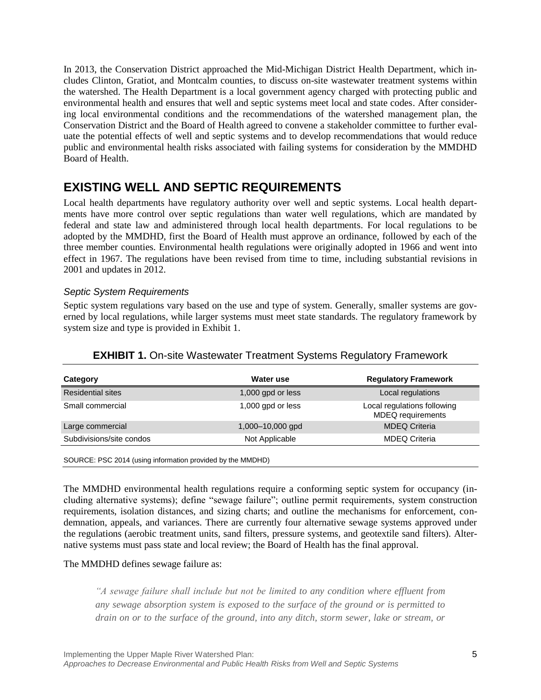In 2013, the Conservation District approached the Mid-Michigan District Health Department, which includes Clinton, Gratiot, and Montcalm counties, to discuss on-site wastewater treatment systems within the watershed. The Health Department is a local government agency charged with protecting public and environmental health and ensures that well and septic systems meet local and state codes. After considering local environmental conditions and the recommendations of the watershed management plan, the Conservation District and the Board of Health agreed to convene a stakeholder committee to further evaluate the potential effects of well and septic systems and to develop recommendations that would reduce public and environmental health risks associated with failing systems for consideration by the MMDHD Board of Health.

## <span id="page-7-0"></span>**EXISTING WELL AND SEPTIC REQUIREMENTS**

Local health departments have regulatory authority over well and septic systems. Local health departments have more control over septic regulations than water well regulations, which are mandated by federal and state law and administered through local health departments. For local regulations to be adopted by the MMDHD, first the Board of Health must approve an ordinance, followed by each of the three member counties. Environmental health regulations were originally adopted in 1966 and went into effect in 1967. The regulations have been revised from time to time, including substantial revisions in 2001 and updates in 2012.

### *Septic System Requirements*

Septic system regulations vary based on the use and type of system. Generally, smaller systems are governed by local regulations, while larger systems must meet state standards. The regulatory framework by system size and type is provided in Exhibit 1.

| <b>EXHIBIT 1.</b> On-site Wastewater Treatment Systems Regulatory Framework |
|-----------------------------------------------------------------------------|
|                                                                             |

| Category                 | Water use         | <b>Regulatory Framework</b>                             |
|--------------------------|-------------------|---------------------------------------------------------|
| <b>Residential sites</b> | 1,000 gpd or less | Local regulations                                       |
| Small commercial         | 1,000 gpd or less | Local regulations following<br><b>MDEQ</b> requirements |
| Large commercial         | 1,000-10,000 gpd  | <b>MDEQ Criteria</b>                                    |
| Subdivisions/site condos | Not Applicable    | <b>MDEQ Criteria</b>                                    |
|                          |                   |                                                         |

SOURCE: PSC 2014 (using information provided by the MMDHD)

The MMDHD environmental health regulations require a conforming septic system for occupancy (including alternative systems); define "sewage failure"; outline permit requirements, system construction requirements, isolation distances, and sizing charts; and outline the mechanisms for enforcement, condemnation, appeals, and variances. There are currently four alternative sewage systems approved under the regulations (aerobic treatment units, sand filters, pressure systems, and geotextile sand filters). Alternative systems must pass state and local review; the Board of Health has the final approval.

#### The MMDHD defines sewage failure as:

*"A sewage failure shall include but not be limited to any condition where effluent from any sewage absorption system is exposed to the surface of the ground or is permitted to drain on or to the surface of the ground, into any ditch, storm sewer, lake or stream, or*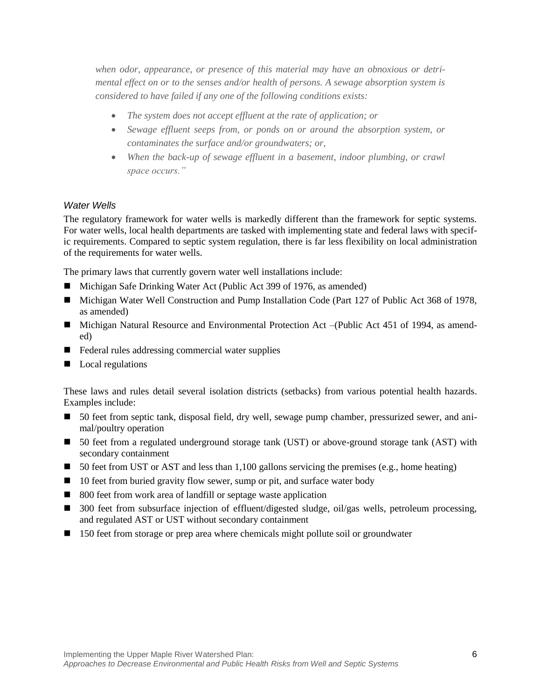*when odor, appearance, or presence of this material may have an obnoxious or detrimental effect on or to the senses and/or health of persons. A sewage absorption system is considered to have failed if any one of the following conditions exists:*

- *The system does not accept effluent at the rate of application; or*
- *Sewage effluent seeps from, or ponds on or around the absorption system, or contaminates the surface and/or groundwaters; or,*
- *When the back-up of sewage effluent in a basement, indoor plumbing, or crawl space occurs."*

#### *Water Wells*

The regulatory framework for water wells is markedly different than the framework for septic systems. For water wells, local health departments are tasked with implementing state and federal laws with specific requirements. Compared to septic system regulation, there is far less flexibility on local administration of the requirements for water wells.

The primary laws that currently govern water well installations include:

- Michigan Safe Drinking Water Act (Public Act 399 of 1976, as amended)
- Michigan Water Well Construction and Pump Installation Code (Part 127 of Public Act 368 of 1978, as amended)
- Michigan Natural Resource and Environmental Protection Act –(Public Act 451 of 1994, as amended)
- $\blacksquare$  Federal rules addressing commercial water supplies
- Local regulations

These laws and rules detail several isolation districts (setbacks) from various potential health hazards. Examples include:

- 50 feet from septic tank, disposal field, dry well, sewage pump chamber, pressurized sewer, and animal/poultry operation
- 50 feet from a regulated underground storage tank (UST) or above-ground storage tank (AST) with secondary containment
- 50 feet from UST or AST and less than 1,100 gallons servicing the premises (e.g., home heating)
- $\Box$  10 feet from buried gravity flow sewer, sump or pit, and surface water body
- 800 feet from work area of landfill or septage waste application
- 300 feet from subsurface injection of effluent/digested sludge, oil/gas wells, petroleum processing, and regulated AST or UST without secondary containment
- 150 feet from storage or prep area where chemicals might pollute soil or groundwater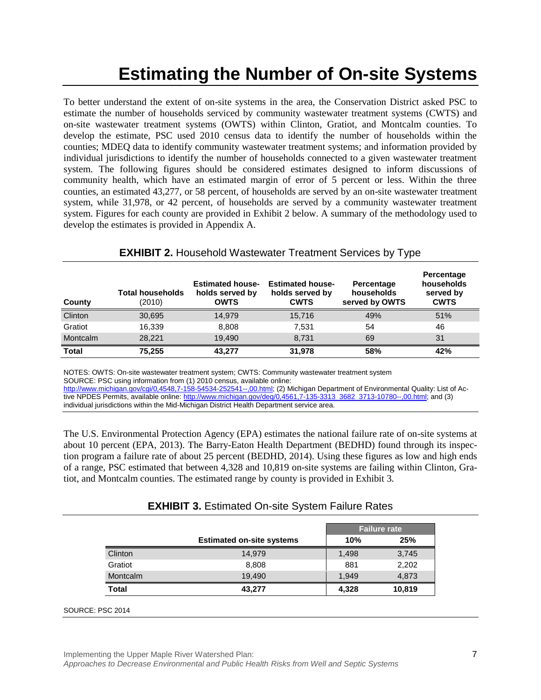## **Estimating the Number of On-site Systems**

<span id="page-9-0"></span>To better understand the extent of on-site systems in the area, the Conservation District asked PSC to estimate the number of households serviced by community wastewater treatment systems (CWTS) and on-site wastewater treatment systems (OWTS) within Clinton, Gratiot, and Montcalm counties. To develop the estimate, PSC used 2010 census data to identify the number of households within the counties; MDEQ data to identify community wastewater treatment systems; and information provided by individual jurisdictions to identify the number of households connected to a given wastewater treatment system. The following figures should be considered estimates designed to inform discussions of community health, which have an estimated margin of error of 5 percent or less. Within the three counties, an estimated 43,277, or 58 percent, of households are served by an on-site wastewater treatment system, while 31,978, or 42 percent, of households are served by a community wastewater treatment system. Figures for each county are provided in Exhibit 2 below. A summary of the methodology used to develop the estimates is provided in Appendix A.

| County          | <b>Total households</b><br>(2010) | <b>Estimated house-</b><br>holds served by<br><b>OWTS</b> | <b>Estimated house-</b><br>holds served by<br><b>CWTS</b> | Percentage<br>households<br>served by OWTS | Percentage<br>households<br>served by<br><b>CWTS</b> |
|-----------------|-----------------------------------|-----------------------------------------------------------|-----------------------------------------------------------|--------------------------------------------|------------------------------------------------------|
| Clinton         | 30,695                            | 14.979                                                    | 15,716                                                    | 49%                                        | 51%                                                  |
| Gratiot         | 16.339                            | 8.808                                                     | 7.531                                                     | 54                                         | 46                                                   |
| <b>Montcalm</b> | 28.221                            | 19.490                                                    | 8,731                                                     | 69                                         | 31                                                   |
| <b>Total</b>    | 75,255                            | 43.277                                                    | 31.978                                                    | 58%                                        | 42%                                                  |

**EXHIBIT 2.** Household Wastewater Treatment Services by Type

NOTES: OWTS: On-site wastewater treatment system; CWTS: Community wastewater treatment system SOURCE: PSC using information from (1) 2010 census, available online:

[http://www.michigan.gov/cgi/0,4548,7-158-54534-252541--,00.html;](http://www.michigan.gov/cgi/0,4548,7-158-54534-252541--,00.html) (2) Michigan Department of Environmental Quality: List of Active NPDES Permits, available online: [http://www.michigan.gov/deq/0,4561,7-135-3313\\_3682\\_3713-10780--,00.html;](http://www.michigan.gov/deq/0,4561,7-135-3313_3682_3713-10780--,00.html) and (3) individual jurisdictions within the Mid-Michigan District Health Department service area.

The U.S. Environmental Protection Agency (EPA) estimates the national failure rate of on-site systems at about 10 percent (EPA, 2013). The Barry-Eaton Health Department (BEDHD) found through its inspection program a failure rate of about 25 percent (BEDHD, 2014). Using these figures as low and high ends of a range, PSC estimated that between 4,328 and 10,819 on-site systems are failing within Clinton, Gratiot, and Montcalm counties. The estimated range by county is provided in Exhibit 3.

|              |                                  | <b>Failure rate</b> |        |
|--------------|----------------------------------|---------------------|--------|
|              | <b>Estimated on-site systems</b> | 10%                 | 25%    |
| Clinton      | 14,979                           | 1,498               | 3,745  |
| Gratiot      | 8,808                            | 881                 | 2,202  |
| Montcalm     | 19,490                           | 1,949               | 4,873  |
| <b>Total</b> | 43,277                           | 4,328               | 10,819 |

#### SOURCE: PSC 2014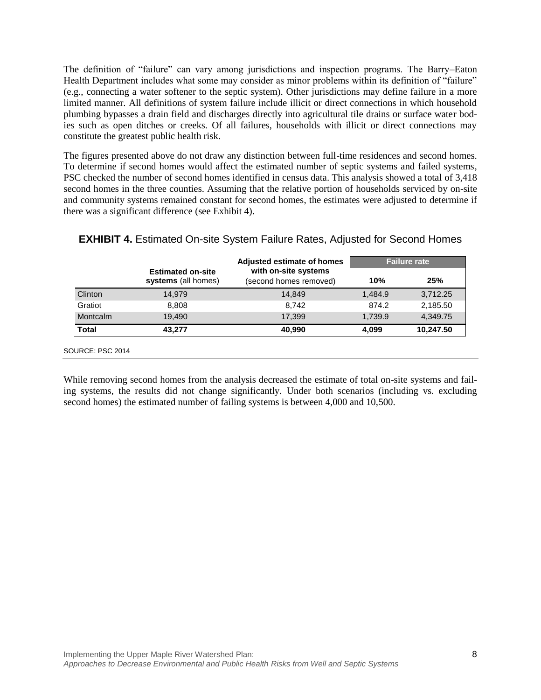The definition of "failure" can vary among jurisdictions and inspection programs. The Barry–Eaton Health Department includes what some may consider as minor problems within its definition of "failure" (e.g., connecting a water softener to the septic system). Other jurisdictions may define failure in a more limited manner. All definitions of system failure include illicit or direct connections in which household plumbing bypasses a drain field and discharges directly into agricultural tile drains or surface water bodies such as open ditches or creeks. Of all failures, households with illicit or direct connections may constitute the greatest public health risk.

The figures presented above do not draw any distinction between full-time residences and second homes. To determine if second homes would affect the estimated number of septic systems and failed systems, PSC checked the number of second homes identified in census data. This analysis showed a total of 3,418 second homes in the three counties. Assuming that the relative portion of households serviced by on-site and community systems remained constant for second homes, the estimates were adjusted to determine if there was a significant difference (see Exhibit 4).

|              |                                                 | <b>Adjusted estimate of homes</b><br>with on-site systems | <b>Failure rate</b> |           |
|--------------|-------------------------------------------------|-----------------------------------------------------------|---------------------|-----------|
|              | <b>Estimated on-site</b><br>systems (all homes) | (second homes removed)                                    | 10%                 | 25%       |
| Clinton      | 14.979                                          | 14,849                                                    | 1,484.9             | 3,712.25  |
| Gratiot      | 8.808                                           | 8.742                                                     | 874.2               | 2,185.50  |
| Montcalm     | 19,490                                          | 17.399                                                    | 1,739.9             | 4.349.75  |
| <b>Total</b> | 43,277                                          | 40,990                                                    | 4,099               | 10,247.50 |

While removing second homes from the analysis decreased the estimate of total on-site systems and failing systems, the results did not change significantly. Under both scenarios (including vs. excluding second homes) the estimated number of failing systems is between 4,000 and 10,500.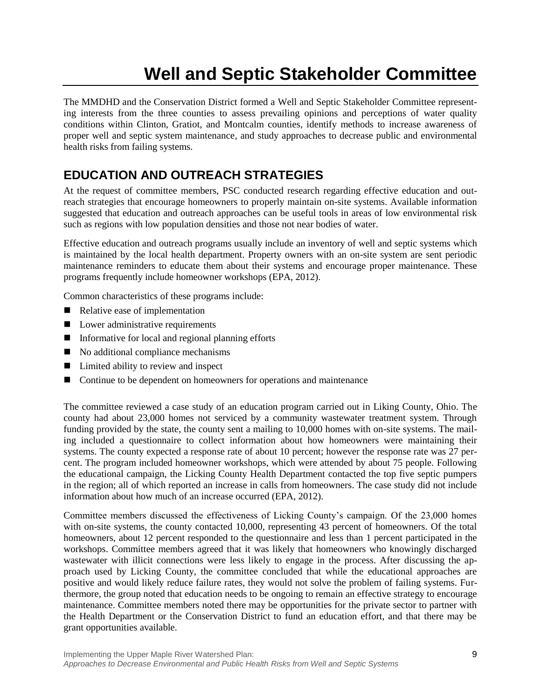# **Well and Septic Stakeholder Committee**

<span id="page-11-0"></span>The MMDHD and the Conservation District formed a Well and Septic Stakeholder Committee representing interests from the three counties to assess prevailing opinions and perceptions of water quality conditions within Clinton, Gratiot, and Montcalm counties, identify methods to increase awareness of proper well and septic system maintenance, and study approaches to decrease public and environmental health risks from failing systems.

## <span id="page-11-1"></span>**EDUCATION AND OUTREACH STRATEGIES**

At the request of committee members, PSC conducted research regarding effective education and outreach strategies that encourage homeowners to properly maintain on-site systems. Available information suggested that education and outreach approaches can be useful tools in areas of low environmental risk such as regions with low population densities and those not near bodies of water.

Effective education and outreach programs usually include an inventory of well and septic systems which is maintained by the local health department. Property owners with an on-site system are sent periodic maintenance reminders to educate them about their systems and encourage proper maintenance. These programs frequently include homeowner workshops (EPA, 2012).

Common characteristics of these programs include:

- Relative ease of implementation
- Lower administrative requirements
- $\blacksquare$  Informative for local and regional planning efforts
- No additional compliance mechanisms
- Limited ability to review and inspect
- Continue to be dependent on homeowners for operations and maintenance

The committee reviewed a case study of an education program carried out in Liking County, Ohio. The county had about 23,000 homes not serviced by a community wastewater treatment system. Through funding provided by the state, the county sent a mailing to 10,000 homes with on-site systems. The mailing included a questionnaire to collect information about how homeowners were maintaining their systems. The county expected a response rate of about 10 percent; however the response rate was 27 percent. The program included homeowner workshops, which were attended by about 75 people. Following the educational campaign, the Licking County Health Department contacted the top five septic pumpers in the region; all of which reported an increase in calls from homeowners. The case study did not include information about how much of an increase occurred (EPA, 2012).

Committee members discussed the effectiveness of Licking County's campaign. Of the 23,000 homes with on-site systems, the county contacted 10,000, representing 43 percent of homeowners. Of the total homeowners, about 12 percent responded to the questionnaire and less than 1 percent participated in the workshops. Committee members agreed that it was likely that homeowners who knowingly discharged wastewater with illicit connections were less likely to engage in the process. After discussing the approach used by Licking County, the committee concluded that while the educational approaches are positive and would likely reduce failure rates, they would not solve the problem of failing systems. Furthermore, the group noted that education needs to be ongoing to remain an effective strategy to encourage maintenance. Committee members noted there may be opportunities for the private sector to partner with the Health Department or the Conservation District to fund an education effort, and that there may be grant opportunities available.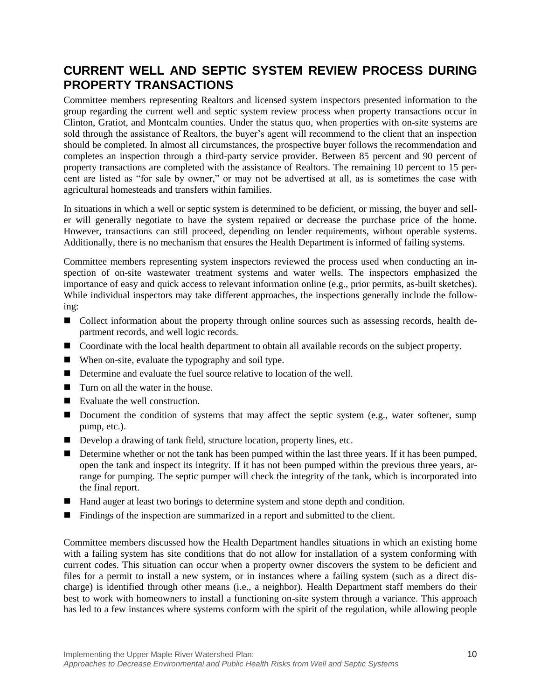## <span id="page-12-0"></span>**CURRENT WELL AND SEPTIC SYSTEM REVIEW PROCESS DURING PROPERTY TRANSACTIONS**

Committee members representing Realtors and licensed system inspectors presented information to the group regarding the current well and septic system review process when property transactions occur in Clinton, Gratiot, and Montcalm counties. Under the status quo, when properties with on-site systems are sold through the assistance of Realtors, the buyer's agent will recommend to the client that an inspection should be completed. In almost all circumstances, the prospective buyer follows the recommendation and completes an inspection through a third-party service provider. Between 85 percent and 90 percent of property transactions are completed with the assistance of Realtors. The remaining 10 percent to 15 percent are listed as "for sale by owner," or may not be advertised at all, as is sometimes the case with agricultural homesteads and transfers within families.

In situations in which a well or septic system is determined to be deficient, or missing, the buyer and seller will generally negotiate to have the system repaired or decrease the purchase price of the home. However, transactions can still proceed, depending on lender requirements, without operable systems. Additionally, there is no mechanism that ensures the Health Department is informed of failing systems.

Committee members representing system inspectors reviewed the process used when conducting an inspection of on-site wastewater treatment systems and water wells. The inspectors emphasized the importance of easy and quick access to relevant information online (e.g., prior permits, as-built sketches). While individual inspectors may take different approaches, the inspections generally include the following:

- Collect information about the property through online sources such as assessing records, health department records, and well logic records.
- Coordinate with the local health department to obtain all available records on the subject property.
- When on-site, evaluate the typography and soil type.
- Determine and evaluate the fuel source relative to location of the well.
- $\blacksquare$  Turn on all the water in the house.
- Evaluate the well construction.
- Document the condition of systems that may affect the septic system (e.g., water softener, sump pump, etc.).
- Develop a drawing of tank field, structure location, property lines, etc.
- Determine whether or not the tank has been pumped within the last three years. If it has been pumped, open the tank and inspect its integrity. If it has not been pumped within the previous three years, arrange for pumping. The septic pumper will check the integrity of the tank, which is incorporated into the final report.
- Hand auger at least two borings to determine system and stone depth and condition.
- **Findings of the inspection are summarized in a report and submitted to the client.**

Committee members discussed how the Health Department handles situations in which an existing home with a failing system has site conditions that do not allow for installation of a system conforming with current codes. This situation can occur when a property owner discovers the system to be deficient and files for a permit to install a new system, or in instances where a failing system (such as a direct discharge) is identified through other means (i.e., a neighbor). Health Department staff members do their best to work with homeowners to install a functioning on-site system through a variance. This approach has led to a few instances where systems conform with the spirit of the regulation, while allowing people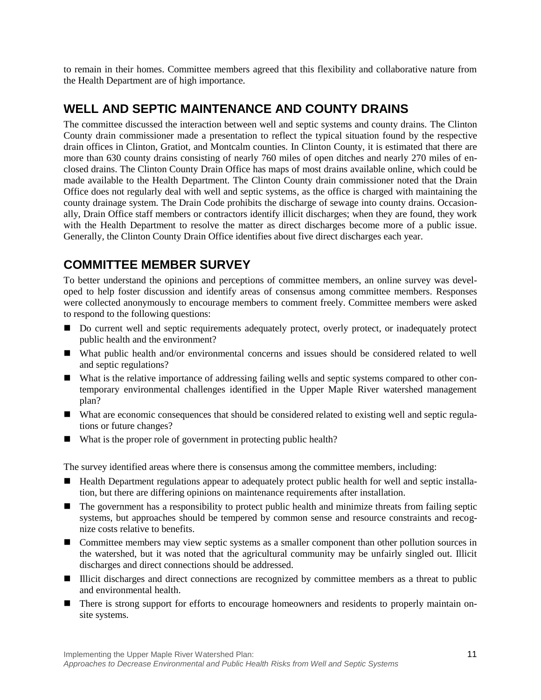to remain in their homes. Committee members agreed that this flexibility and collaborative nature from the Health Department are of high importance.

## <span id="page-13-0"></span>**WELL AND SEPTIC MAINTENANCE AND COUNTY DRAINS**

The committee discussed the interaction between well and septic systems and county drains. The Clinton County drain commissioner made a presentation to reflect the typical situation found by the respective drain offices in Clinton, Gratiot, and Montcalm counties. In Clinton County, it is estimated that there are more than 630 county drains consisting of nearly 760 miles of open ditches and nearly 270 miles of enclosed drains. The Clinton County Drain Office has maps of most drains available online, which could be made available to the Health Department. The Clinton County drain commissioner noted that the Drain Office does not regularly deal with well and septic systems, as the office is charged with maintaining the county drainage system. The Drain Code prohibits the discharge of sewage into county drains. Occasionally, Drain Office staff members or contractors identify illicit discharges; when they are found, they work with the Health Department to resolve the matter as direct discharges become more of a public issue. Generally, the Clinton County Drain Office identifies about five direct discharges each year.

## <span id="page-13-1"></span>**COMMITTEE MEMBER SURVEY**

To better understand the opinions and perceptions of committee members, an online survey was developed to help foster discussion and identify areas of consensus among committee members. Responses were collected anonymously to encourage members to comment freely. Committee members were asked to respond to the following questions:

- Do current well and septic requirements adequately protect, overly protect, or inadequately protect public health and the environment?
- What public health and/or environmental concerns and issues should be considered related to well and septic regulations?
- What is the relative importance of addressing failing wells and septic systems compared to other contemporary environmental challenges identified in the Upper Maple River watershed management plan?
- What are economic consequences that should be considered related to existing well and septic regulations or future changes?
- What is the proper role of government in protecting public health?

The survey identified areas where there is consensus among the committee members, including:

- Health Department regulations appear to adequately protect public health for well and septic installation, but there are differing opinions on maintenance requirements after installation.
- The government has a responsibility to protect public health and minimize threats from failing septic systems, but approaches should be tempered by common sense and resource constraints and recognize costs relative to benefits.
- **O** Committee members may view septic systems as a smaller component than other pollution sources in the watershed, but it was noted that the agricultural community may be unfairly singled out. Illicit discharges and direct connections should be addressed.
- Illicit discharges and direct connections are recognized by committee members as a threat to public and environmental health.
- **There is strong support for efforts to encourage homeowners and residents to properly maintain on**site systems.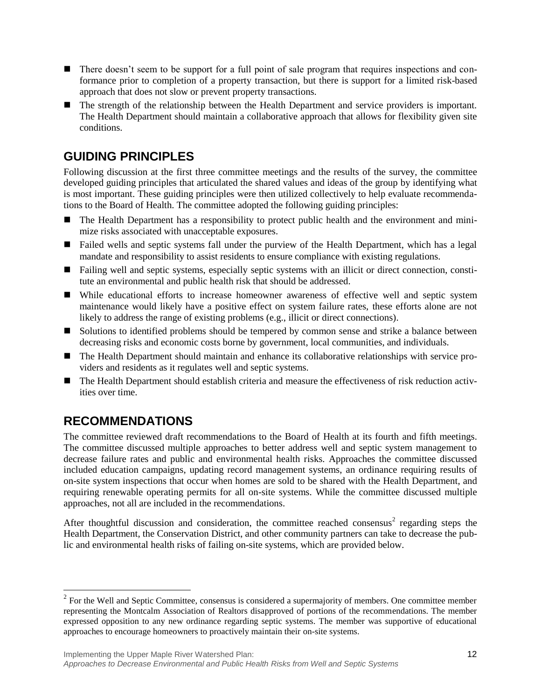- There doesn't seem to be support for a full point of sale program that requires inspections and conformance prior to completion of a property transaction, but there is support for a limited risk-based approach that does not slow or prevent property transactions.
- The strength of the relationship between the Health Department and service providers is important. The Health Department should maintain a collaborative approach that allows for flexibility given site conditions.

## <span id="page-14-0"></span>**GUIDING PRINCIPLES**

Following discussion at the first three committee meetings and the results of the survey, the committee developed guiding principles that articulated the shared values and ideas of the group by identifying what is most important. These guiding principles were then utilized collectively to help evaluate recommendations to the Board of Health. The committee adopted the following guiding principles:

- The Health Department has a responsibility to protect public health and the environment and minimize risks associated with unacceptable exposures.
- Failed wells and septic systems fall under the purview of the Health Department, which has a legal mandate and responsibility to assist residents to ensure compliance with existing regulations.
- Failing well and septic systems, especially septic systems with an illicit or direct connection, constitute an environmental and public health risk that should be addressed.
- While educational efforts to increase homeowner awareness of effective well and septic system maintenance would likely have a positive effect on system failure rates, these efforts alone are not likely to address the range of existing problems (e.g., illicit or direct connections).
- Solutions to identified problems should be tempered by common sense and strike a balance between decreasing risks and economic costs borne by government, local communities, and individuals.
- The Health Department should maintain and enhance its collaborative relationships with service providers and residents as it regulates well and septic systems.
- The Health Department should establish criteria and measure the effectiveness of risk reduction activities over time.

## <span id="page-14-1"></span>**RECOMMENDATIONS**

 $\overline{\phantom{a}}$ 

The committee reviewed draft recommendations to the Board of Health at its fourth and fifth meetings. The committee discussed multiple approaches to better address well and septic system management to decrease failure rates and public and environmental health risks. Approaches the committee discussed included education campaigns, updating record management systems, an ordinance requiring results of on-site system inspections that occur when homes are sold to be shared with the Health Department, and requiring renewable operating permits for all on-site systems. While the committee discussed multiple approaches, not all are included in the recommendations.

After thoughtful discussion and consideration, the committee reached consensus<sup>2</sup> regarding steps the Health Department, the Conservation District, and other community partners can take to decrease the public and environmental health risks of failing on-site systems, which are provided below.

 $2^2$  For the Well and Septic Committee, consensus is considered a supermajority of members. One committee member representing the Montcalm Association of Realtors disapproved of portions of the recommendations. The member expressed opposition to any new ordinance regarding septic systems. The member was supportive of educational approaches to encourage homeowners to proactively maintain their on-site systems.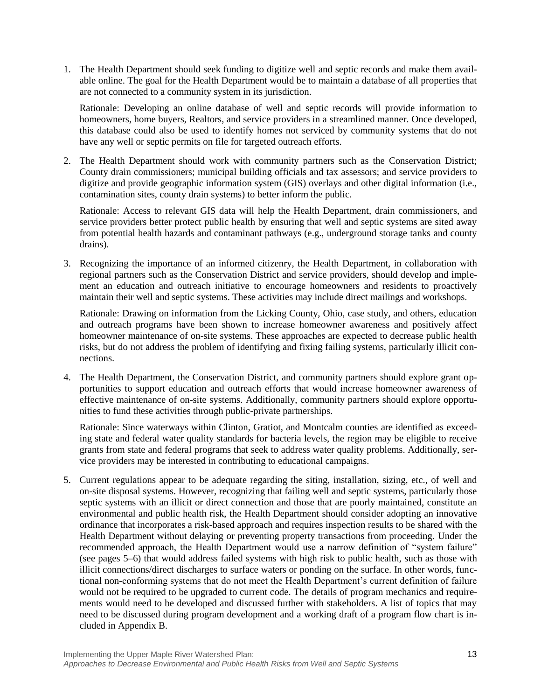1. The Health Department should seek funding to digitize well and septic records and make them available online. The goal for the Health Department would be to maintain a database of all properties that are not connected to a community system in its jurisdiction.

Rationale: Developing an online database of well and septic records will provide information to homeowners, home buyers, Realtors, and service providers in a streamlined manner. Once developed, this database could also be used to identify homes not serviced by community systems that do not have any well or septic permits on file for targeted outreach efforts.

2. The Health Department should work with community partners such as the Conservation District; County drain commissioners; municipal building officials and tax assessors; and service providers to digitize and provide geographic information system (GIS) overlays and other digital information (i.e., contamination sites, county drain systems) to better inform the public.

Rationale: Access to relevant GIS data will help the Health Department, drain commissioners, and service providers better protect public health by ensuring that well and septic systems are sited away from potential health hazards and contaminant pathways (e.g., underground storage tanks and county drains).

3. Recognizing the importance of an informed citizenry, the Health Department, in collaboration with regional partners such as the Conservation District and service providers, should develop and implement an education and outreach initiative to encourage homeowners and residents to proactively maintain their well and septic systems. These activities may include direct mailings and workshops.

Rationale: Drawing on information from the Licking County, Ohio, case study, and others, education and outreach programs have been shown to increase homeowner awareness and positively affect homeowner maintenance of on-site systems. These approaches are expected to decrease public health risks, but do not address the problem of identifying and fixing failing systems, particularly illicit connections.

4. The Health Department, the Conservation District, and community partners should explore grant opportunities to support education and outreach efforts that would increase homeowner awareness of effective maintenance of on-site systems. Additionally, community partners should explore opportunities to fund these activities through public-private partnerships.

Rationale: Since waterways within Clinton, Gratiot, and Montcalm counties are identified as exceeding state and federal water quality standards for bacteria levels, the region may be eligible to receive grants from state and federal programs that seek to address water quality problems. Additionally, service providers may be interested in contributing to educational campaigns.

5. Current regulations appear to be adequate regarding the siting, installation, sizing, etc., of well and on-site disposal systems. However, recognizing that failing well and septic systems, particularly those septic systems with an illicit or direct connection and those that are poorly maintained, constitute an environmental and public health risk, the Health Department should consider adopting an innovative ordinance that incorporates a risk-based approach and requires inspection results to be shared with the Health Department without delaying or preventing property transactions from proceeding. Under the recommended approach, the Health Department would use a narrow definition of "system failure" (see pages 5–6) that would address failed systems with high risk to public health, such as those with illicit connections/direct discharges to surface waters or ponding on the surface. In other words, functional non-conforming systems that do not meet the Health Department's current definition of failure would not be required to be upgraded to current code. The details of program mechanics and requirements would need to be developed and discussed further with stakeholders. A list of topics that may need to be discussed during program development and a working draft of a program flow chart is included in Appendix B.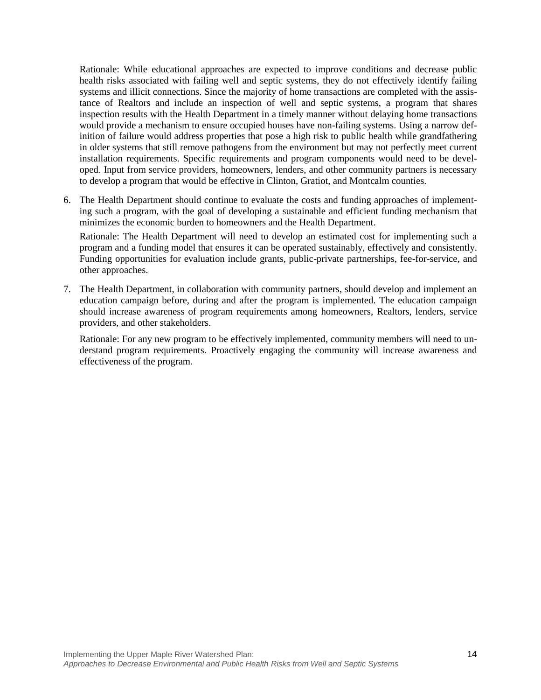Rationale: While educational approaches are expected to improve conditions and decrease public health risks associated with failing well and septic systems, they do not effectively identify failing systems and illicit connections. Since the majority of home transactions are completed with the assistance of Realtors and include an inspection of well and septic systems, a program that shares inspection results with the Health Department in a timely manner without delaying home transactions would provide a mechanism to ensure occupied houses have non-failing systems. Using a narrow definition of failure would address properties that pose a high risk to public health while grandfathering in older systems that still remove pathogens from the environment but may not perfectly meet current installation requirements. Specific requirements and program components would need to be developed. Input from service providers, homeowners, lenders, and other community partners is necessary to develop a program that would be effective in Clinton, Gratiot, and Montcalm counties.

6. The Health Department should continue to evaluate the costs and funding approaches of implementing such a program, with the goal of developing a sustainable and efficient funding mechanism that minimizes the economic burden to homeowners and the Health Department.

Rationale: The Health Department will need to develop an estimated cost for implementing such a program and a funding model that ensures it can be operated sustainably, effectively and consistently. Funding opportunities for evaluation include grants, public-private partnerships, fee-for-service, and other approaches.

7. The Health Department, in collaboration with community partners, should develop and implement an education campaign before, during and after the program is implemented. The education campaign should increase awareness of program requirements among homeowners, Realtors, lenders, service providers, and other stakeholders.

Rationale: For any new program to be effectively implemented, community members will need to understand program requirements. Proactively engaging the community will increase awareness and effectiveness of the program.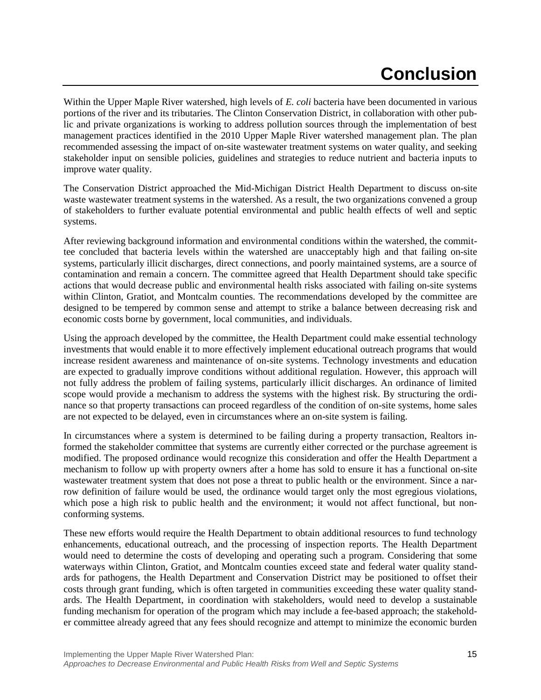# **Conclusion**

<span id="page-17-0"></span>Within the Upper Maple River watershed, high levels of *E. coli* bacteria have been documented in various portions of the river and its tributaries. The Clinton Conservation District, in collaboration with other public and private organizations is working to address pollution sources through the implementation of best management practices identified in the 2010 Upper Maple River watershed management plan. The plan recommended assessing the impact of on-site wastewater treatment systems on water quality, and seeking stakeholder input on sensible policies, guidelines and strategies to reduce nutrient and bacteria inputs to improve water quality.

The Conservation District approached the Mid-Michigan District Health Department to discuss on-site waste wastewater treatment systems in the watershed. As a result, the two organizations convened a group of stakeholders to further evaluate potential environmental and public health effects of well and septic systems.

After reviewing background information and environmental conditions within the watershed, the committee concluded that bacteria levels within the watershed are unacceptably high and that failing on-site systems, particularly illicit discharges, direct connections, and poorly maintained systems, are a source of contamination and remain a concern. The committee agreed that Health Department should take specific actions that would decrease public and environmental health risks associated with failing on-site systems within Clinton, Gratiot, and Montcalm counties. The recommendations developed by the committee are designed to be tempered by common sense and attempt to strike a balance between decreasing risk and economic costs borne by government, local communities, and individuals.

Using the approach developed by the committee, the Health Department could make essential technology investments that would enable it to more effectively implement educational outreach programs that would increase resident awareness and maintenance of on-site systems. Technology investments and education are expected to gradually improve conditions without additional regulation. However, this approach will not fully address the problem of failing systems, particularly illicit discharges. An ordinance of limited scope would provide a mechanism to address the systems with the highest risk. By structuring the ordinance so that property transactions can proceed regardless of the condition of on-site systems, home sales are not expected to be delayed, even in circumstances where an on-site system is failing.

In circumstances where a system is determined to be failing during a property transaction, Realtors informed the stakeholder committee that systems are currently either corrected or the purchase agreement is modified. The proposed ordinance would recognize this consideration and offer the Health Department a mechanism to follow up with property owners after a home has sold to ensure it has a functional on-site wastewater treatment system that does not pose a threat to public health or the environment. Since a narrow definition of failure would be used, the ordinance would target only the most egregious violations, which pose a high risk to public health and the environment; it would not affect functional, but nonconforming systems.

These new efforts would require the Health Department to obtain additional resources to fund technology enhancements, educational outreach, and the processing of inspection reports. The Health Department would need to determine the costs of developing and operating such a program. Considering that some waterways within Clinton, Gratiot, and Montcalm counties exceed state and federal water quality standards for pathogens, the Health Department and Conservation District may be positioned to offset their costs through grant funding, which is often targeted in communities exceeding these water quality standards. The Health Department, in coordination with stakeholders, would need to develop a sustainable funding mechanism for operation of the program which may include a fee-based approach; the stakeholder committee already agreed that any fees should recognize and attempt to minimize the economic burden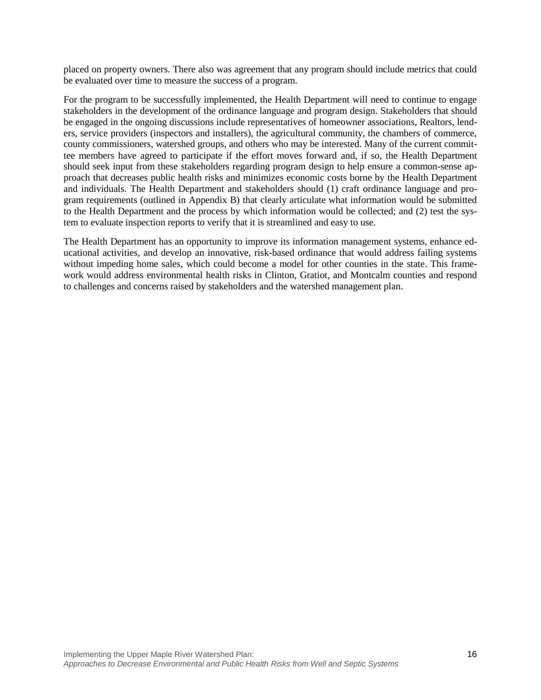placed on property owners. There also was agreement that any program should include metrics that could be evaluated over time to measure the success of a program.

For the program to be successfully implemented, the Health Department will need to continue to engage stakeholders in the development of the ordinance language and program design. Stakeholders that should be engaged in the ongoing discussions include representatives of homeowner associations, Realtors, lenders, service providers (inspectors and installers), the agricultural community, the chambers of commerce, county commissioners, watershed groups, and others who may be interested. Many of the current committee members have agreed to participate if the effort moves forward and, if so, the Health Department should seek input from these stakeholders regarding program design to help ensure a common-sense approach that decreases public health risks and minimizes economic costs borne by the Health Department and individuals. The Health Department and stakeholders should (1) craft ordinance language and program requirements (outlined in Appendix B) that clearly articulate what information would be submitted to the Health Department and the process by which information would be collected; and (2) test the system to evaluate inspection reports to verify that it is streamlined and easy to use.

The Health Department has an opportunity to improve its information management systems, enhance educational activities, and develop an innovative, risk-based ordinance that would address failing systems without impeding home sales, which could become a model for other counties in the state. This framework would address environmental health risks in Clinton, Gratiot, and Montcalm counties and respond to challenges and concerns raised by stakeholders and the watershed management plan.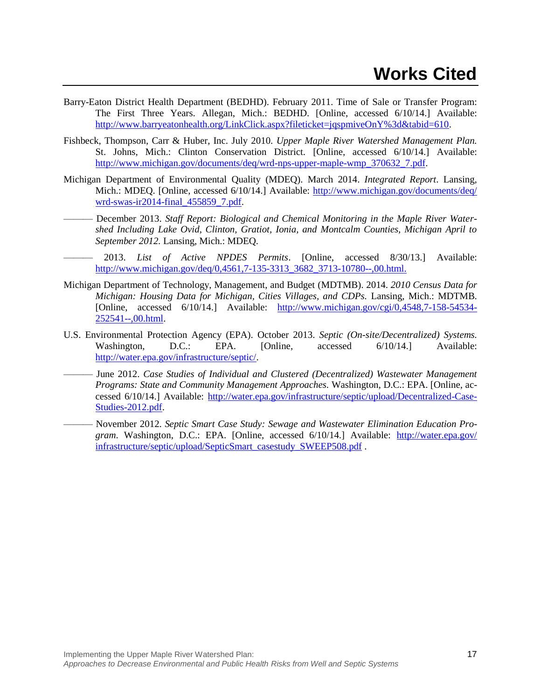- <span id="page-19-0"></span>Barry-Eaton District Health Department (BEDHD). February 2011. Time of Sale or Transfer Program: The First Three Years. Allegan, Mich.: BEDHD. [Online, accessed 6/10/14.] Available: [http://www.barryeatonhealth.org/LinkClick.aspx?fileticket=jqspmiveOnY%3d&tabid=610.](http://www.barryeatonhealth.org/LinkClick.aspx?fileticket=jqspmiveOnY%3d&tabid=610)
- Fishbeck, Thompson, Carr & Huber, Inc. July 2010. *Upper Maple River Watershed Management Plan.*  St. Johns, Mich.: Clinton Conservation District. [Online, accessed 6/10/14.] Available: [http://www.michigan.gov/documents/deq/wrd-nps-upper-maple-wmp\\_370632\\_7.pdf.](http://www.michigan.gov/documents/deq/wrd-nps-upper-maple-wmp_370632_7.pdf)
- Michigan Department of Environmental Quality (MDEQ). March 2014. *Integrated Report*. Lansing, Mich.: MDEQ. [Online, accessed 6/10/14.] Available: [http://www.michigan.gov/documents/deq/](http://www.michigan.gov/documents/deq/wrd-swas-ir2014-final_455859_7.pdf) [wrd-swas-ir2014-final\\_455859\\_7.pdf.](http://www.michigan.gov/documents/deq/wrd-swas-ir2014-final_455859_7.pdf)
- December 2013. Staff Report: Biological and Chemical Monitoring in the Maple River Water*shed Including Lake Ovid, Clinton, Gratiot, Ionia, and Montcalm Counties, Michigan April to September 2012.* Lansing, Mich.: MDEQ.
- ——— 2013. *List of Active NPDES Permits*. [Online, accessed 8/30/13.] Available: [http://www.michigan.gov/deq/0,4561,7-135-3313\\_3682\\_3713-10780--,00.html.](http://www.michigan.gov/deq/0,4561,7-135-3313_3682_3713-10780--,00.html)
- Michigan Department of Technology, Management, and Budget (MDTMB). 2014. *2010 Census Data for Michigan: Housing Data for Michigan, Cities Villages, and CDPs.* Lansing, Mich.: MDTMB. [Online, accessed 6/10/14.] Available: [http://www.michigan.gov/cgi/0,4548,7-158-54534-](http://www.michigan.gov/cgi/0,4548,7-158-54534-252541--,00.html) [252541--,00.html.](http://www.michigan.gov/cgi/0,4548,7-158-54534-252541--,00.html)
- U.S. Environmental Protection Agency (EPA). October 2013. *Septic (On-site/Decentralized) Systems.* Washington, D.C.: EPA. [Online, accessed 6/10/14.] Available: [http://water.epa.gov/infrastructure/septic/.](http://water.epa.gov/infrastructure/septic/)
- ——— June 2012. *Case Studies of Individual and Clustered (Decentralized) Wastewater Management Programs: State and Community Management Approaches.* Washington, D.C.: EPA. [Online, accessed 6/10/14.] Available: [http://water.epa.gov/infrastructure/septic/upload/Decentralized-Case-](http://water.epa.gov/infrastructure/septic/upload/Decentralized-Case-Studies-2012.pdf)[Studies-2012.pdf.](http://water.epa.gov/infrastructure/septic/upload/Decentralized-Case-Studies-2012.pdf)
- ——— November 2012. *Septic Smart Case Study: Sewage and Wastewater Elimination Education Program*. Washington, D.C.: EPA. [Online, accessed 6/10/14.] Available: [http://water.epa.gov/](http://water.epa.gov/infrastructure/septic/upload/SepticSmart_casestudy_SWEEP508.pdf) [infrastructure/septic/upload/SepticSmart\\_casestudy\\_SWEEP508.pdf](http://water.epa.gov/infrastructure/septic/upload/SepticSmart_casestudy_SWEEP508.pdf) .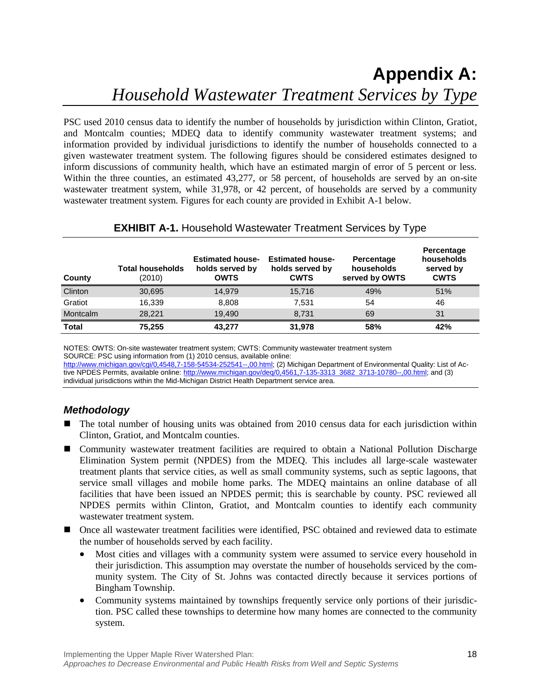## <span id="page-20-0"></span>**Appendix A:**  *Household Wastewater Treatment Services by Type*

PSC used 2010 census data to identify the number of households by jurisdiction within Clinton, Gratiot, and Montcalm counties; MDEQ data to identify community wastewater treatment systems; and information provided by individual jurisdictions to identify the number of households connected to a given wastewater treatment system. The following figures should be considered estimates designed to inform discussions of community health, which have an estimated margin of error of 5 percent or less. Within the three counties, an estimated 43,277, or 58 percent, of households are served by an on-site wastewater treatment system, while 31,978, or 42 percent, of households are served by a community wastewater treatment system. Figures for each county are provided in Exhibit A-1 below.

| County       | <b>Total households</b><br>(2010) | <b>Estimated house-</b><br>holds served by<br><b>OWTS</b> | <b>Estimated house-</b><br>holds served by<br><b>CWTS</b> | Percentage<br>households<br>served by OWTS | Percentage<br>households<br>served by<br><b>CWTS</b> |
|--------------|-----------------------------------|-----------------------------------------------------------|-----------------------------------------------------------|--------------------------------------------|------------------------------------------------------|
| Clinton      | 30,695                            | 14,979                                                    | 15,716                                                    | 49%                                        | 51%                                                  |
| Gratiot      | 16.339                            | 8.808                                                     | 7.531                                                     | 54                                         | 46                                                   |
| Montcalm     | 28.221                            | 19.490                                                    | 8,731                                                     | 69                                         | 31                                                   |
| <b>Total</b> | 75,255                            | 43.277                                                    | 31,978                                                    | 58%                                        | 42%                                                  |

## **EXHIBIT A-1.** Household Wastewater Treatment Services by Type

NOTES: OWTS: On-site wastewater treatment system; CWTS: Community wastewater treatment system SOURCE: PSC using information from (1) 2010 census, available online: [http://www.michigan.gov/cgi/0,4548,7-158-54534-252541--,00.html;](http://www.michigan.gov/cgi/0,4548,7-158-54534-252541--,00.html) (2) Michigan Department of Environmental Quality: List of Active NPDES Permits, available online: [http://www.michigan.gov/deq/0,4561,7-135-3313\\_3682\\_3713-10780--,00.html;](http://www.michigan.gov/deq/0,4561,7-135-3313_3682_3713-10780--,00.html) and (3) individual jurisdictions within the Mid-Michigan District Health Department service area.

### <span id="page-20-1"></span>*Methodology*

- The total number of housing units was obtained from 2010 census data for each jurisdiction within Clinton, Gratiot, and Montcalm counties.
- Community wastewater treatment facilities are required to obtain a National Pollution Discharge Elimination System permit (NPDES) from the MDEQ. This includes all large-scale wastewater treatment plants that service cities, as well as small community systems, such as septic lagoons, that service small villages and mobile home parks. The MDEQ maintains an online database of all facilities that have been issued an NPDES permit; this is searchable by county. PSC reviewed all NPDES permits within Clinton, Gratiot, and Montcalm counties to identify each community wastewater treatment system.
- Once all wastewater treatment facilities were identified, PSC obtained and reviewed data to estimate the number of households served by each facility.
	- Most cities and villages with a community system were assumed to service every household in their jurisdiction. This assumption may overstate the number of households serviced by the community system. The City of St. Johns was contacted directly because it services portions of Bingham Township.
	- Community systems maintained by townships frequently service only portions of their jurisdiction. PSC called these townships to determine how many homes are connected to the community system.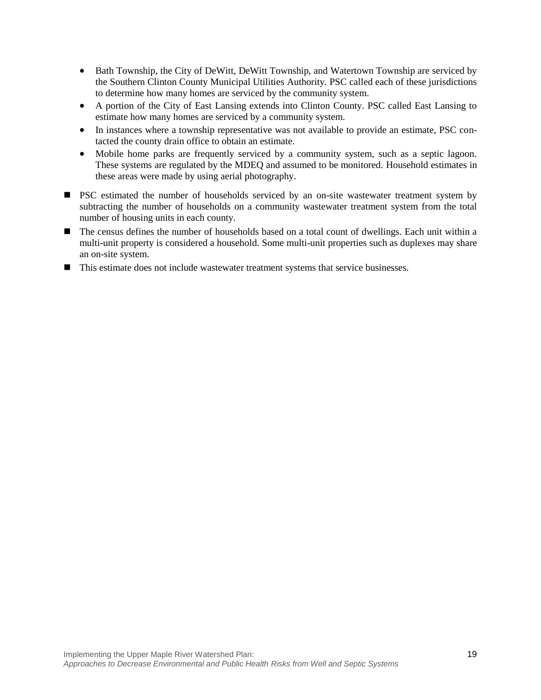- Bath Township, the City of DeWitt, DeWitt Township, and Watertown Township are serviced by the Southern Clinton County Municipal Utilities Authority. PSC called each of these jurisdictions to determine how many homes are serviced by the community system.
- A portion of the City of East Lansing extends into Clinton County. PSC called East Lansing to estimate how many homes are serviced by a community system.
- In instances where a township representative was not available to provide an estimate, PSC contacted the county drain office to obtain an estimate.
- Mobile home parks are frequently serviced by a community system, such as a septic lagoon. These systems are regulated by the MDEQ and assumed to be monitored. Household estimates in these areas were made by using aerial photography.
- **PSC** estimated the number of households serviced by an on-site wastewater treatment system by subtracting the number of households on a community wastewater treatment system from the total number of housing units in each county.
- The census defines the number of households based on a total count of dwellings. Each unit within a multi-unit property is considered a household. Some multi-unit properties such as duplexes may share an on-site system.
- This estimate does not include wastewater treatment systems that service businesses.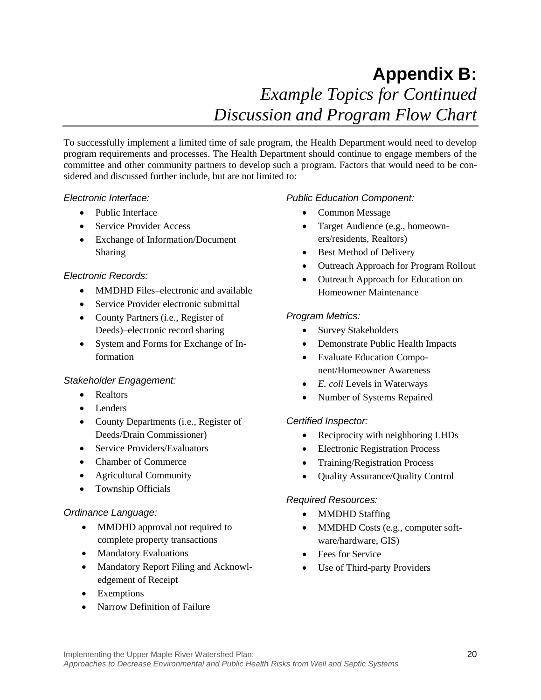## **Appendix B:**  *Example Topics for Continued Discussion and Program Flow Chart*

<span id="page-22-0"></span>To successfully implement a limited time of sale program, the Health Department would need to develop program requirements and processes. The Health Department should continue to engage members of the committee and other community partners to develop such a program. Factors that would need to be considered and discussed further include, but are not limited to:

### *Electronic Interface:*

- Public Interface
- Service Provider Access
- Exchange of Information/Document Sharing

### <span id="page-22-1"></span>*Electronic Records:*

- MMDHD Files–electronic and available
- Service Provider electronic submittal
- County Partners (i.e., Register of Deeds)–electronic record sharing
- System and Forms for Exchange of Information

### <span id="page-22-2"></span>*Stakeholder Engagement:*

- Realtors
- Lenders
- County Departments (i.e., Register of Deeds/Drain Commissioner)
- Service Providers/Evaluators
- Chamber of Commerce
- Agricultural Community
- Township Officials

### <span id="page-22-3"></span>*Ordinance Language:*

- MMDHD approval not required to complete property transactions
- Mandatory Evaluations
- Mandatory Report Filing and Acknowledgement of Receipt
- Exemptions
- <span id="page-22-4"></span>• Narrow Definition of Failure

### *Public Education Component:*

- Common Message
- Target Audience (e.g., homeowners/residents, Realtors)
- Best Method of Delivery
- Outreach Approach for Program Rollout
- Outreach Approach for Education on Homeowner Maintenance

### <span id="page-22-5"></span>*Program Metrics:*

- Survey Stakeholders
- Demonstrate Public Health Impacts
- Evaluate Education Component/Homeowner Awareness
- *E. coli* Levels in Waterways
- Number of Systems Repaired

### <span id="page-22-6"></span>*Certified Inspector:*

- Reciprocity with neighboring LHDs
- Electronic Registration Process
- Training/Registration Process
- Quality Assurance/Quality Control

### <span id="page-22-7"></span>*Required Resources:*

- MMDHD Staffing
- MMDHD Costs (e.g., computer software/hardware, GIS)
- Fees for Service
- Use of Third-party Providers